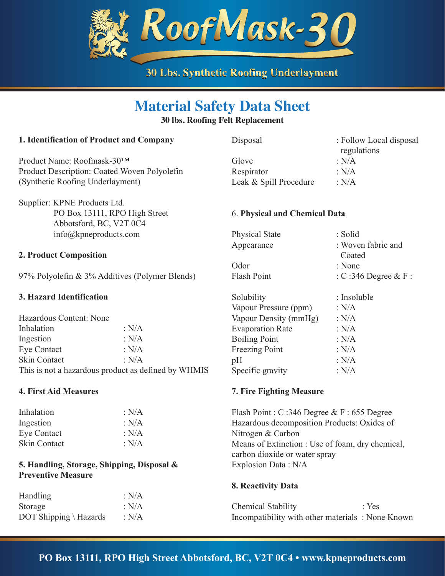

# **Material Safety Data Sheet**

### **30 lbs. Roofing Felt Replacement**

# **1. Identification of Product and Company**

Product Name: Roofmask-30™ Product Description: Coated Woven Polyolefin (Synthetic Roofing Underlayment)

Supplier: KPNE Products Ltd. PO Box 13111, RPO High Street Abbotsford, BC, V2T 0C4 info@kpneproducts.com

#### **2. Product Composition**

97% Polyolefin & 3% Additives (Polymer Blends)

### **3. Hazard Identification**

| Hazardous Content: None                             |         |  |
|-----------------------------------------------------|---------|--|
| Inhalation                                          | : $N/A$ |  |
| Ingestion                                           | : N/A   |  |
| Eye Contact                                         | : N/A   |  |
| Skin Contact                                        | : $N/A$ |  |
| This is not a hazardous product as defined by WHMIS |         |  |

#### **4. First Aid Measures**

| : $N/A$ |
|---------|
| : $N/A$ |
| : $N/A$ |
| : $N/A$ |
|         |

# **5. Handling, Storage, Shipping, Disposal & Preventive Measure**

| <b>Handling</b>        | : $N/A$ |
|------------------------|---------|
| Storage                | : $N/A$ |
| DOT Shipping \ Hazards | : $N/A$ |

Disposal : Follow Local disposal

 regulations Glove : N/A Respirator : N/A Leak & Spill Procedure : N/A

#### 6. **Physical and Chemical Data**

| <b>Physical State</b> | : Solid                |
|-----------------------|------------------------|
| Appearance            | : Woven fabric and     |
|                       | Coated                 |
| Odor                  | : None                 |
| Flash Point           | : C:346 Degree $&$ F : |
|                       |                        |

| Solubility              | : Insoluble |
|-------------------------|-------------|
| Vapour Pressure (ppm)   | : $N/A$     |
| Vapour Density (mmHg)   | : $N/A$     |
| <b>Evaporation Rate</b> | : $N/A$     |
| <b>Boiling Point</b>    | : $N/A$     |
| <b>Freezing Point</b>   | : $N/A$     |
| pH                      | : $N/A$     |
| Specific gravity        | : $N/A$     |
|                         |             |

#### **7. Fire Fighting Measure**

Flash Point : C :346 Degree & F : 655 Degree Hazardous decomposition Products: Oxides of Nitrogen & Carbon Means of Extinction : Use of foam, dry chemical, carbon dioxide or water spray Explosion Data : N/A

#### **8. Reactivity Data**

Chemical Stability : Yes Incompatibility with other materials : None Known

# **PO Box 13111, RPO High Street Abbotsford, BC, V2T 0C4 • www.kpneproducts.com**